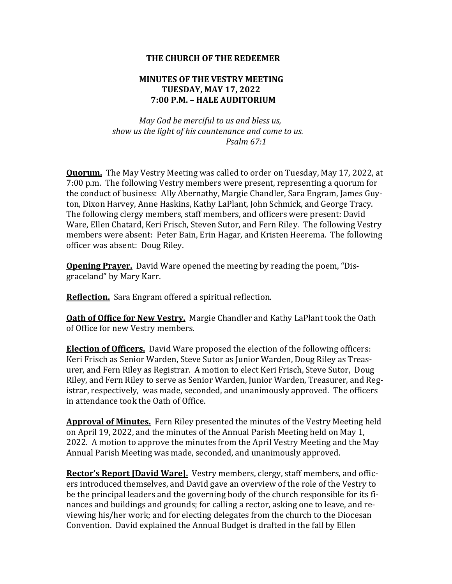## **THE CHURCH OF THE REDEEMER**

## **MINUTES OF THE VESTRY MEETING TUESDAY, MAY 17, 2022 7:00 P.M. - HALE AUDITORIUM**

 *May God be merciful to us and bless us, show us the light of his countenance and come to us. Psalm 67:1*

**Quorum.** The May Vestry Meeting was called to order on Tuesday, May 17, 2022, at 7:00 p.m. The following Vestry members were present, representing a quorum for the conduct of business: Ally Abernathy, Margie Chandler, Sara Engram, James Guyton, Dixon Harvey, Anne Haskins, Kathy LaPlant, John Schmick, and George Tracy. The following clergy members, staff members, and officers were present: David Ware, Ellen Chatard, Keri Frisch, Steven Sutor, and Fern Riley. The following Vestry members were absent: Peter Bain, Erin Hagar, and Kristen Heerema. The following officer was absent: Doug Riley.

**Opening Prayer.** David Ware opened the meeting by reading the poem, "Disgraceland" by Mary Karr.

**Reflection.** Sara Engram offered a spiritual reflection.

**Oath of Office for New Vestry.** Margie Chandler and Kathy LaPlant took the Oath of Office for new Vestry members.

**Election of Officers.** David Ware proposed the election of the following officers: Keri Frisch as Senior Warden, Steve Sutor as Junior Warden, Doug Riley as Treasurer, and Fern Riley as Registrar. A motion to elect Keri Frisch, Steve Sutor, Doug Riley, and Fern Riley to serve as Senior Warden, Junior Warden, Treasurer, and Registrar, respectively, was made, seconded, and unanimously approved. The officers in attendance took the Oath of Office.

**Approval of Minutes.** Fern Riley presented the minutes of the Vestry Meeting held on April 19, 2022, and the minutes of the Annual Parish Meeting held on May 1, 2022. A motion to approve the minutes from the April Vestry Meeting and the May Annual Parish Meeting was made, seconded, and unanimously approved.

**Rector's Report [David Ware].** Vestry members, clergy, staff members, and officers introduced themselves, and David gave an overview of the role of the Vestry to be the principal leaders and the governing body of the church responsible for its finances and buildings and grounds; for calling a rector, asking one to leave, and reviewing his/her work; and for electing delegates from the church to the Diocesan Convention. David explained the Annual Budget is drafted in the fall by Ellen